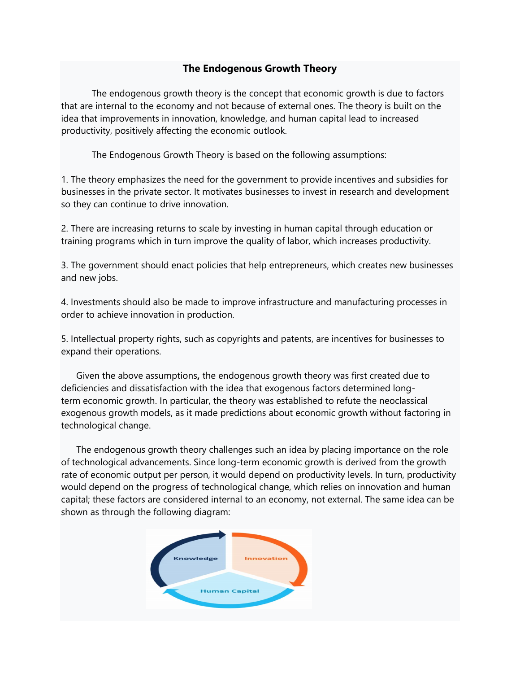# **The Endogenous Growth Theory**

The endogenous growth theory is the concept that economic growth is due to factors that are internal to the economy and not because of external ones. The theory is built on the idea that improvements in innovation, knowledge, and human capital lead to increased productivity, positively affecting the economic outlook.

The Endogenous Growth Theory is based on the following assumptions:

1. The theory emphasizes the need for the government to provide incentives and subsidies for businesses in the private sector. It motivates businesses to invest in research and development so they can continue to drive innovation.

2. There are increasing returns to scale by investing in human capital through education or training programs which in turn improve the quality of labor, which increases productivity.

3. The government should enact policies that help [entrepreneurs,](https://corporatefinanceinstitute.com/resources/knowledge/other/entrepreneur/) which creates new businesses and new jobs.

4. Investments should also be made to improve infrastructure and manufacturing processes in order to achieve innovation in production.

5. Intellectual property rights, such as copyrights and patents, are incentives for businesses to expand their operations.

Given the above assumptions**,** the endogenous growth theory was first created due to deficiencies and dissatisfaction with the idea that exogenous factors determined longterm [economic growth.](https://corporatefinanceinstitute.com/resources/knowledge/economics/economic-growth/) In particular, the theory was established to refute the neoclassical exogenous growth models, as it made predictions about economic growth without factoring in technological change.

The endogenous growth theory challenges such an idea by placing importance on the role of technological advancements. Since long-term economic growth is derived from the growth rate of economic output per person, it would depend on productivity levels. In turn, productivity would depend on the progress of technological change, which relies on innovation and human capital; these factors are considered internal to an economy, not external. The same idea can be shown as through the following diagram: